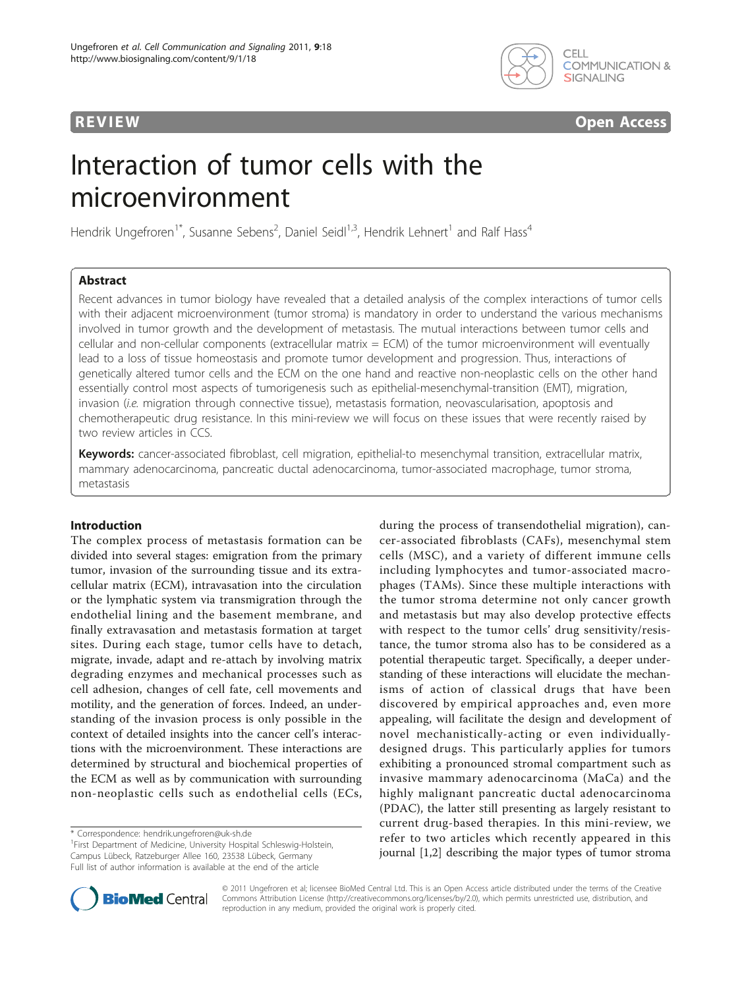



**COMMUNICATION & SIGNALING** 

**REVIEW CONSIDERING CONSIDERING CONSIDERING CONSIDERING CONSIDERING CONSIDERING CONSIDERING CONSIDERING CONSIDERING CONSIDERING CONSIDERING CONSIDERING CONSIDERING CONSIDERING CONSIDERING CONSIDERING CONSIDERING CONSIDER** 

# Interaction of tumor cells with the microenvironment

Hendrik Ungefroren<sup>1\*</sup>, Susanne Sebens<sup>2</sup>, Daniel Seidl<sup>1,3</sup>, Hendrik Lehnert<sup>1</sup> and Ralf Hass<sup>4</sup>

# Abstract

Recent advances in tumor biology have revealed that a detailed analysis of the complex interactions of tumor cells with their adjacent microenvironment (tumor stroma) is mandatory in order to understand the various mechanisms involved in tumor growth and the development of metastasis. The mutual interactions between tumor cells and cellular and non-cellular components (extracellular matrix = ECM) of the tumor microenvironment will eventually lead to a loss of tissue homeostasis and promote tumor development and progression. Thus, interactions of genetically altered tumor cells and the ECM on the one hand and reactive non-neoplastic cells on the other hand essentially control most aspects of tumorigenesis such as epithelial-mesenchymal-transition (EMT), migration, invasion (i.e. migration through connective tissue), metastasis formation, neovascularisation, apoptosis and chemotherapeutic drug resistance. In this mini-review we will focus on these issues that were recently raised by two review articles in CCS.

Keywords: cancer-associated fibroblast, cell migration, epithelial-to mesenchymal transition, extracellular matrix, mammary adenocarcinoma, pancreatic ductal adenocarcinoma, tumor-associated macrophage, tumor stroma, metastasis

# Introduction

The complex process of metastasis formation can be divided into several stages: emigration from the primary tumor, invasion of the surrounding tissue and its extracellular matrix (ECM), intravasation into the circulation or the lymphatic system via transmigration through the endothelial lining and the basement membrane, and finally extravasation and metastasis formation at target sites. During each stage, tumor cells have to detach, migrate, invade, adapt and re-attach by involving matrix degrading enzymes and mechanical processes such as cell adhesion, changes of cell fate, cell movements and motility, and the generation of forces. Indeed, an understanding of the invasion process is only possible in the context of detailed insights into the cancer cell's interactions with the microenvironment. These interactions are determined by structural and biochemical properties of the ECM as well as by communication with surrounding non-neoplastic cells such as endothelial cells (ECs,

<sup>1</sup> First Department of Medicine, University Hospital Schleswig-Holstein, Campus Lübeck, Ratzeburger Allee 160, 23538 Lübeck, Germany Full list of author information is available at the end of the article

during the process of transendothelial migration), cancer-associated fibroblasts (CAFs), mesenchymal stem cells (MSC), and a variety of different immune cells including lymphocytes and tumor-associated macrophages (TAMs). Since these multiple interactions with the tumor stroma determine not only cancer growth and metastasis but may also develop protective effects with respect to the tumor cells' drug sensitivity/resistance, the tumor stroma also has to be considered as a potential therapeutic target. Specifically, a deeper understanding of these interactions will elucidate the mechanisms of action of classical drugs that have been discovered by empirical approaches and, even more appealing, will facilitate the design and development of novel mechanistically-acting or even individuallydesigned drugs. This particularly applies for tumors exhibiting a pronounced stromal compartment such as invasive mammary adenocarcinoma (MaCa) and the highly malignant pancreatic ductal adenocarcinoma (PDAC), the latter still presenting as largely resistant to current drug-based therapies. In this mini-review, we refer to two articles which recently appeared in this journal [[1,2\]](#page-5-0) describing the major types of tumor stroma



© 2011 Ungefroren et al; licensee BioMed Central Ltd. This is an Open Access article distributed under the terms of the Creative Commons Attribution License [\(http://creativecommons.org/licenses/by/2.0](http://creativecommons.org/licenses/by/2.0)), which permits unrestricted use, distribution, and reproduction in any medium, provided the original work is properly cited.

<sup>\*</sup> Correspondence: [hendrik.ungefroren@uk-sh.de](mailto:hendrik.ungefroren@uk-sh.de)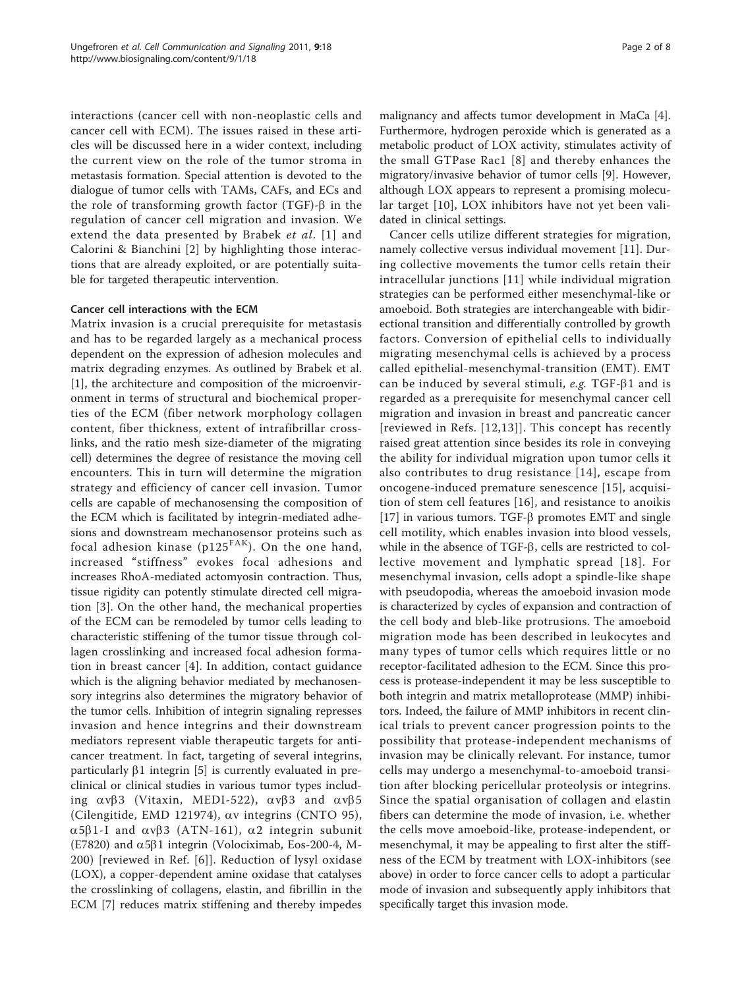interactions (cancer cell with non-neoplastic cells and cancer cell with ECM). The issues raised in these articles will be discussed here in a wider context, including the current view on the role of the tumor stroma in metastasis formation. Special attention is devoted to the dialogue of tumor cells with TAMs, CAFs, and ECs and the role of transforming growth factor  $(TGF)-\beta$  in the regulation of cancer cell migration and invasion. We extend the data presented by Brabek et al. [[1\]](#page-5-0) and Calorini & Bianchini [[2](#page-5-0)] by highlighting those interactions that are already exploited, or are potentially suitable for targeted therapeutic intervention.

## Cancer cell interactions with the ECM

Matrix invasion is a crucial prerequisite for metastasis and has to be regarded largely as a mechanical process dependent on the expression of adhesion molecules and matrix degrading enzymes. As outlined by Brabek et al. [[1\]](#page-5-0), the architecture and composition of the microenvironment in terms of structural and biochemical properties of the ECM (fiber network morphology collagen content, fiber thickness, extent of intrafibrillar crosslinks, and the ratio mesh size-diameter of the migrating cell) determines the degree of resistance the moving cell encounters. This in turn will determine the migration strategy and efficiency of cancer cell invasion. Tumor cells are capable of mechanosensing the composition of the ECM which is facilitated by integrin-mediated adhesions and downstream mechanosensor proteins such as focal adhesion kinase ( $p125<sup>FAK</sup>$ ). On the one hand, increased "stiffness" evokes focal adhesions and increases RhoA-mediated actomyosin contraction. Thus, tissue rigidity can potently stimulate directed cell migration [\[3](#page-5-0)]. On the other hand, the mechanical properties of the ECM can be remodeled by tumor cells leading to characteristic stiffening of the tumor tissue through collagen crosslinking and increased focal adhesion formation in breast cancer [[4\]](#page-5-0). In addition, contact guidance which is the aligning behavior mediated by mechanosensory integrins also determines the migratory behavior of the tumor cells. Inhibition of integrin signaling represses invasion and hence integrins and their downstream mediators represent viable therapeutic targets for anticancer treatment. In fact, targeting of several integrins, particularly  $\beta$ 1 integrin [[5\]](#page-5-0) is currently evaluated in preclinical or clinical studies in various tumor types including  $\alpha \nu \beta$ 3 (Vitaxin, MEDI-522),  $\alpha \nu \beta$ 3 and  $\alpha \nu \beta$ 5 (Cilengitide, EMD 121974), av integrins (CNTO 95),  $\alpha$ 5 $\beta$ 1-I and  $\alpha$ v $\beta$ 3 (ATN-161),  $\alpha$ 2 integrin subunit (E7820) and  $\alpha$ 5 $\beta$ 1 integrin (Volociximab, Eos-200-4, M-200) [reviewed in Ref. [\[6](#page-5-0)]]. Reduction of lysyl oxidase (LOX), a copper-dependent amine oxidase that catalyses the crosslinking of collagens, elastin, and fibrillin in the ECM [[7\]](#page-5-0) reduces matrix stiffening and thereby impedes malignancy and affects tumor development in MaCa [\[4](#page-5-0)]. Furthermore, hydrogen peroxide which is generated as a metabolic product of LOX activity, stimulates activity of the small GTPase Rac1 [[8](#page-6-0)] and thereby enhances the migratory/invasive behavior of tumor cells [\[9](#page-6-0)]. However, although LOX appears to represent a promising molecular target [[10](#page-6-0)], LOX inhibitors have not yet been validated in clinical settings.

Cancer cells utilize different strategies for migration, namely collective versus individual movement [[11](#page-6-0)]. During collective movements the tumor cells retain their intracellular junctions [[11\]](#page-6-0) while individual migration strategies can be performed either mesenchymal-like or amoeboid. Both strategies are interchangeable with bidirectional transition and differentially controlled by growth factors. Conversion of epithelial cells to individually migrating mesenchymal cells is achieved by a process called epithelial-mesenchymal-transition (EMT). EMT can be induced by several stimuli, e.g. TGF- $\beta$ 1 and is regarded as a prerequisite for mesenchymal cancer cell migration and invasion in breast and pancreatic cancer [reviewed in Refs. [[12](#page-6-0),[13](#page-6-0)]]. This concept has recently raised great attention since besides its role in conveying the ability for individual migration upon tumor cells it also contributes to drug resistance [[14](#page-6-0)], escape from oncogene-induced premature senescence [\[15\]](#page-6-0), acquisition of stem cell features [[16\]](#page-6-0), and resistance to anoikis [[17\]](#page-6-0) in various tumors. TGF- $\beta$  promotes EMT and single cell motility, which enables invasion into blood vessels, while in the absence of TGF- $\beta$ , cells are restricted to collective movement and lymphatic spread [[18](#page-6-0)]. For mesenchymal invasion, cells adopt a spindle-like shape with pseudopodia, whereas the amoeboid invasion mode is characterized by cycles of expansion and contraction of the cell body and bleb-like protrusions. The amoeboid migration mode has been described in leukocytes and many types of tumor cells which requires little or no receptor-facilitated adhesion to the ECM. Since this process is protease-independent it may be less susceptible to both integrin and matrix metalloprotease (MMP) inhibitors. Indeed, the failure of MMP inhibitors in recent clinical trials to prevent cancer progression points to the possibility that protease-independent mechanisms of invasion may be clinically relevant. For instance, tumor cells may undergo a mesenchymal-to-amoeboid transition after blocking pericellular proteolysis or integrins. Since the spatial organisation of collagen and elastin fibers can determine the mode of invasion, i.e. whether the cells move amoeboid-like, protease-independent, or mesenchymal, it may be appealing to first alter the stiffness of the ECM by treatment with LOX-inhibitors (see above) in order to force cancer cells to adopt a particular mode of invasion and subsequently apply inhibitors that specifically target this invasion mode.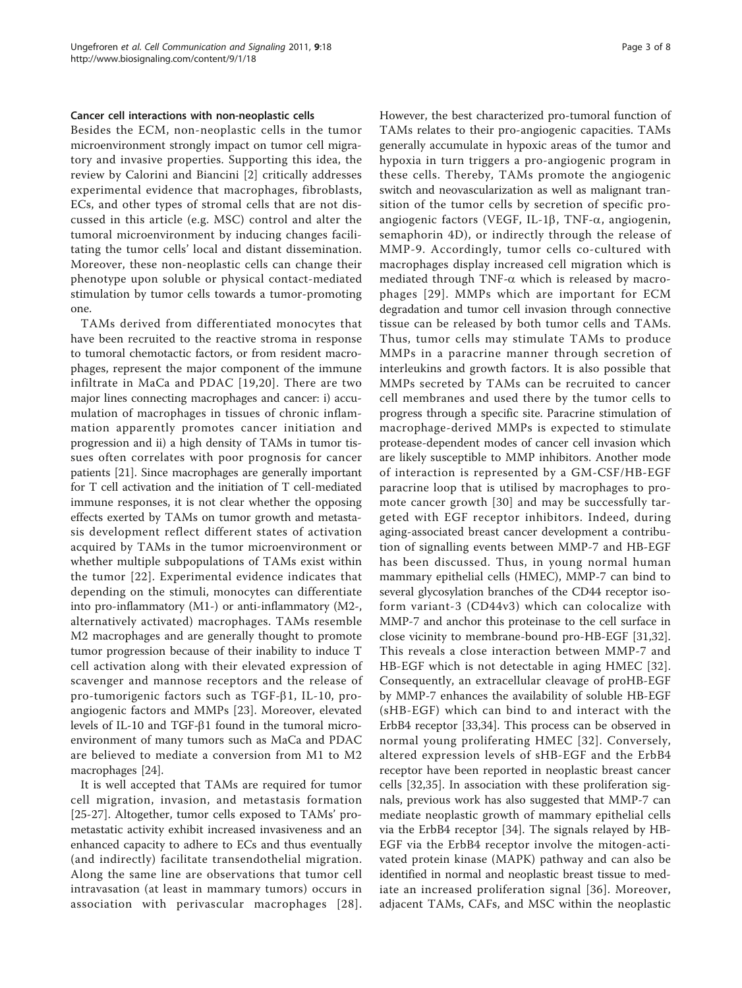### Cancer cell interactions with non-neoplastic cells

Besides the ECM, non-neoplastic cells in the tumor microenvironment strongly impact on tumor cell migratory and invasive properties. Supporting this idea, the review by Calorini and Biancini [[2\]](#page-5-0) critically addresses experimental evidence that macrophages, fibroblasts, ECs, and other types of stromal cells that are not discussed in this article (e.g. MSC) control and alter the tumoral microenvironment by inducing changes facilitating the tumor cells' local and distant dissemination. Moreover, these non-neoplastic cells can change their phenotype upon soluble or physical contact-mediated stimulation by tumor cells towards a tumor-promoting one.

TAMs derived from differentiated monocytes that have been recruited to the reactive stroma in response to tumoral chemotactic factors, or from resident macrophages, represent the major component of the immune infiltrate in MaCa and PDAC [[19](#page-6-0),[20](#page-6-0)]. There are two major lines connecting macrophages and cancer: i) accumulation of macrophages in tissues of chronic inflammation apparently promotes cancer initiation and progression and ii) a high density of TAMs in tumor tissues often correlates with poor prognosis for cancer patients [[21\]](#page-6-0). Since macrophages are generally important for T cell activation and the initiation of T cell-mediated immune responses, it is not clear whether the opposing effects exerted by TAMs on tumor growth and metastasis development reflect different states of activation acquired by TAMs in the tumor microenvironment or whether multiple subpopulations of TAMs exist within the tumor [[22\]](#page-6-0). Experimental evidence indicates that depending on the stimuli, monocytes can differentiate into pro-inflammatory (M1-) or anti-inflammatory (M2-, alternatively activated) macrophages. TAMs resemble M2 macrophages and are generally thought to promote tumor progression because of their inability to induce T cell activation along with their elevated expression of scavenger and mannose receptors and the release of pro-tumorigenic factors such as TGF- $\beta$ 1, IL-10, proangiogenic factors and MMPs [[23\]](#page-6-0). Moreover, elevated levels of IL-10 and TGF- $\beta$ 1 found in the tumoral microenvironment of many tumors such as MaCa and PDAC are believed to mediate a conversion from M1 to M2 macrophages [\[24](#page-6-0)].

It is well accepted that TAMs are required for tumor cell migration, invasion, and metastasis formation [[25-27](#page-6-0)]. Altogether, tumor cells exposed to TAMs' prometastatic activity exhibit increased invasiveness and an enhanced capacity to adhere to ECs and thus eventually (and indirectly) facilitate transendothelial migration. Along the same line are observations that tumor cell intravasation (at least in mammary tumors) occurs in association with perivascular macrophages [[28\]](#page-6-0). However, the best characterized pro-tumoral function of TAMs relates to their pro-angiogenic capacities. TAMs generally accumulate in hypoxic areas of the tumor and hypoxia in turn triggers a pro-angiogenic program in these cells. Thereby, TAMs promote the angiogenic switch and neovascularization as well as malignant transition of the tumor cells by secretion of specific proangiogenic factors (VEGF, IL-1 $\beta$ , TNF- $\alpha$ , angiogenin, semaphorin 4D), or indirectly through the release of MMP-9. Accordingly, tumor cells co-cultured with macrophages display increased cell migration which is mediated through TNF- $\alpha$  which is released by macrophages [[29](#page-6-0)]. MMPs which are important for ECM degradation and tumor cell invasion through connective tissue can be released by both tumor cells and TAMs. Thus, tumor cells may stimulate TAMs to produce MMPs in a paracrine manner through secretion of interleukins and growth factors. It is also possible that MMPs secreted by TAMs can be recruited to cancer cell membranes and used there by the tumor cells to progress through a specific site. Paracrine stimulation of macrophage-derived MMPs is expected to stimulate protease-dependent modes of cancer cell invasion which are likely susceptible to MMP inhibitors. Another mode of interaction is represented by a GM-CSF/HB-EGF paracrine loop that is utilised by macrophages to promote cancer growth [\[30\]](#page-6-0) and may be successfully targeted with EGF receptor inhibitors. Indeed, during aging-associated breast cancer development a contribution of signalling events between MMP-7 and HB-EGF has been discussed. Thus, in young normal human mammary epithelial cells (HMEC), MMP-7 can bind to several glycosylation branches of the CD44 receptor isoform variant-3 (CD44v3) which can colocalize with MMP-7 and anchor this proteinase to the cell surface in close vicinity to membrane-bound pro-HB-EGF [\[31,32](#page-6-0)]. This reveals a close interaction between MMP-7 and HB-EGF which is not detectable in aging HMEC [[32](#page-6-0)]. Consequently, an extracellular cleavage of proHB-EGF by MMP-7 enhances the availability of soluble HB-EGF (sHB-EGF) which can bind to and interact with the ErbB4 receptor [\[33,34\]](#page-6-0). This process can be observed in normal young proliferating HMEC [[32\]](#page-6-0). Conversely, altered expression levels of sHB-EGF and the ErbB4 receptor have been reported in neoplastic breast cancer cells [\[32](#page-6-0),[35\]](#page-6-0). In association with these proliferation signals, previous work has also suggested that MMP-7 can mediate neoplastic growth of mammary epithelial cells via the ErbB4 receptor [\[34](#page-6-0)]. The signals relayed by HB-EGF via the ErbB4 receptor involve the mitogen-activated protein kinase (MAPK) pathway and can also be identified in normal and neoplastic breast tissue to mediate an increased proliferation signal [[36](#page-6-0)]. Moreover, adjacent TAMs, CAFs, and MSC within the neoplastic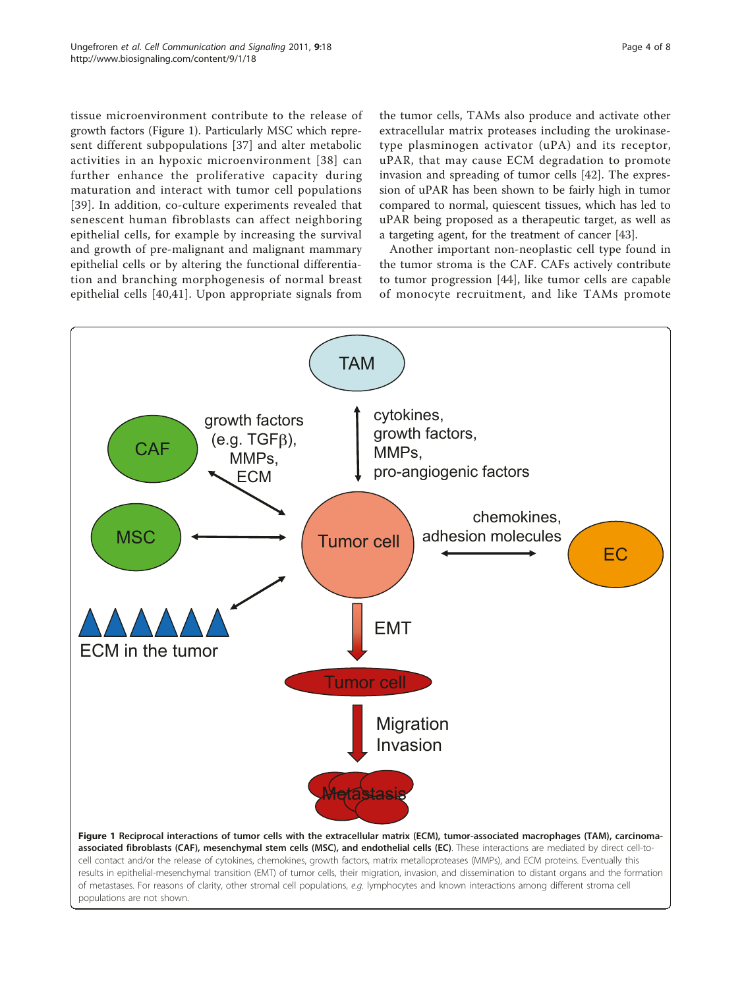<span id="page-3-0"></span>tissue microenvironment contribute to the release of growth factors (Figure 1). Particularly MSC which represent different subpopulations [[37](#page-6-0)] and alter metabolic activities in an hypoxic microenvironment [[38](#page-6-0)] can further enhance the proliferative capacity during maturation and interact with tumor cell populations [[39](#page-6-0)]. In addition, co-culture experiments revealed that senescent human fibroblasts can affect neighboring epithelial cells, for example by increasing the survival and growth of pre-malignant and malignant mammary epithelial cells or by altering the functional differentiation and branching morphogenesis of normal breast epithelial cells [\[40,41](#page-6-0)]. Upon appropriate signals from

the tumor cells, TAMs also produce and activate other extracellular matrix proteases including the urokinasetype plasminogen activator (uPA) and its receptor, uPAR, that may cause ECM degradation to promote invasion and spreading of tumor cells [[42\]](#page-6-0). The expression of uPAR has been shown to be fairly high in tumor compared to normal, quiescent tissues, which has led to uPAR being proposed as a therapeutic target, as well as a targeting agent, for the treatment of cancer [\[43\]](#page-6-0).

Another important non-neoplastic cell type found in the tumor stroma is the CAF. CAFs actively contribute to tumor progression [[44](#page-6-0)], like tumor cells are capable of monocyte recruitment, and like TAMs promote



results in epithelial-mesenchymal transition (EMT) of tumor cells, their migration, invasion, and dissemination to distant organs and the formation of metastases. For reasons of clarity, other stromal cell populations, e.g. lymphocytes and known interactions among different stroma cell populations are not shown.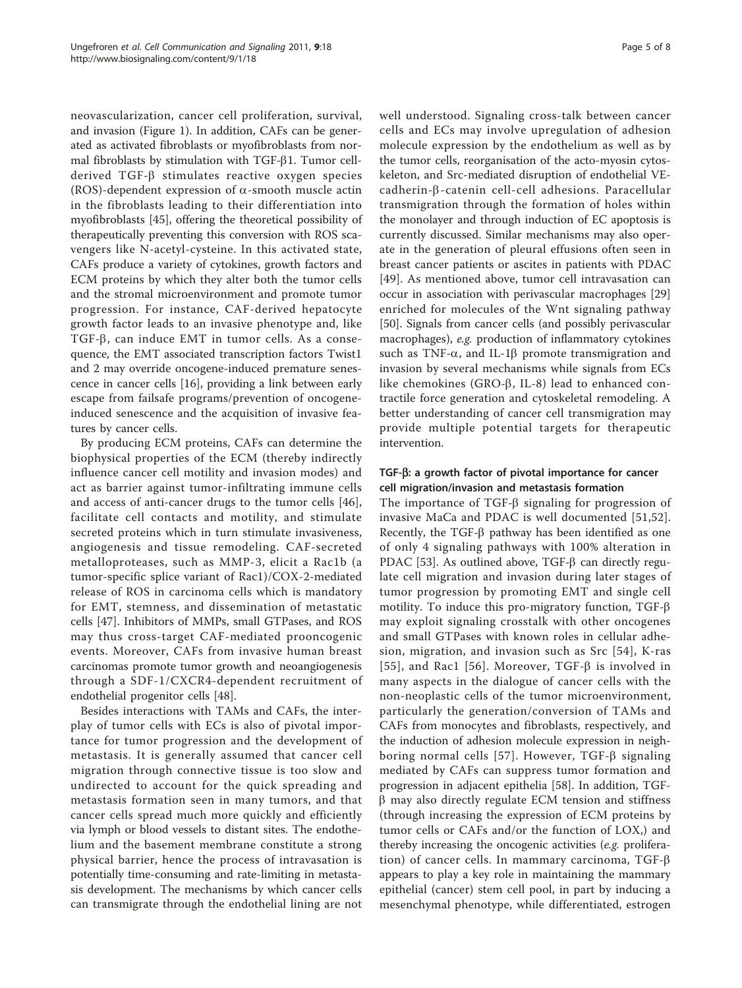neovascularization, cancer cell proliferation, survival, and invasion (Figure [1\)](#page-3-0). In addition, CAFs can be generated as activated fibroblasts or myofibroblasts from normal fibroblasts by stimulation with TGF- $\beta$ 1. Tumor cellderived TGF-b stimulates reactive oxygen species (ROS)-dependent expression of  $\alpha$ -smooth muscle actin in the fibroblasts leading to their differentiation into myofibroblasts [[45\]](#page-6-0), offering the theoretical possibility of therapeutically preventing this conversion with ROS scavengers like N-acetyl-cysteine. In this activated state, CAFs produce a variety of cytokines, growth factors and ECM proteins by which they alter both the tumor cells and the stromal microenvironment and promote tumor progression. For instance, CAF-derived hepatocyte growth factor leads to an invasive phenotype and, like TGF-b, can induce EMT in tumor cells. As a consequence, the EMT associated transcription factors Twist1 and 2 may override oncogene-induced premature senescence in cancer cells [[16\]](#page-6-0), providing a link between early escape from failsafe programs/prevention of oncogeneinduced senescence and the acquisition of invasive features by cancer cells.

By producing ECM proteins, CAFs can determine the biophysical properties of the ECM (thereby indirectly influence cancer cell motility and invasion modes) and act as barrier against tumor-infiltrating immune cells and access of anti-cancer drugs to the tumor cells [[46](#page-6-0)], facilitate cell contacts and motility, and stimulate secreted proteins which in turn stimulate invasiveness, angiogenesis and tissue remodeling. CAF-secreted metalloproteases, such as MMP-3, elicit a Rac1b (a tumor-specific splice variant of Rac1)/COX-2-mediated release of ROS in carcinoma cells which is mandatory for EMT, stemness, and dissemination of metastatic cells [[47\]](#page-6-0). Inhibitors of MMPs, small GTPases, and ROS may thus cross-target CAF-mediated prooncogenic events. Moreover, CAFs from invasive human breast carcinomas promote tumor growth and neoangiogenesis through a SDF-1/CXCR4-dependent recruitment of endothelial progenitor cells [[48\]](#page-6-0).

Besides interactions with TAMs and CAFs, the interplay of tumor cells with ECs is also of pivotal importance for tumor progression and the development of metastasis. It is generally assumed that cancer cell migration through connective tissue is too slow and undirected to account for the quick spreading and metastasis formation seen in many tumors, and that cancer cells spread much more quickly and efficiently via lymph or blood vessels to distant sites. The endothelium and the basement membrane constitute a strong physical barrier, hence the process of intravasation is potentially time-consuming and rate-limiting in metastasis development. The mechanisms by which cancer cells can transmigrate through the endothelial lining are not well understood. Signaling cross-talk between cancer cells and ECs may involve upregulation of adhesion molecule expression by the endothelium as well as by the tumor cells, reorganisation of the acto-myosin cytoskeleton, and Src-mediated disruption of endothelial VEcadherin-b-catenin cell-cell adhesions. Paracellular transmigration through the formation of holes within the monolayer and through induction of EC apoptosis is currently discussed. Similar mechanisms may also operate in the generation of pleural effusions often seen in breast cancer patients or ascites in patients with PDAC [[49](#page-6-0)]. As mentioned above, tumor cell intravasation can occur in association with perivascular macrophages [[29](#page-6-0)] enriched for molecules of the Wnt signaling pathway [[50\]](#page-6-0). Signals from cancer cells (and possibly perivascular macrophages), e.g. production of inflammatory cytokines such as TNF- $\alpha$ , and IL-1 $\beta$  promote transmigration and invasion by several mechanisms while signals from ECs like chemokines (GRO-β, IL-8) lead to enhanced contractile force generation and cytoskeletal remodeling. A better understanding of cancer cell transmigration may provide multiple potential targets for therapeutic intervention.

# TGF- $\beta$ : a growth factor of pivotal importance for cancer cell migration/invasion and metastasis formation

The importance of TGF- $\beta$  signaling for progression of invasive MaCa and PDAC is well documented [\[51,52](#page-6-0)]. Recently, the TGF- $\beta$  pathway has been identified as one of only 4 signaling pathways with 100% alteration in PDAC [\[53](#page-7-0)]. As outlined above,  $TGF- $\beta$  can directly regular$ late cell migration and invasion during later stages of tumor progression by promoting EMT and single cell motility. To induce this pro-migratory function,  $TGF- $\beta$$ may exploit signaling crosstalk with other oncogenes and small GTPases with known roles in cellular adhesion, migration, and invasion such as Src [[54\]](#page-7-0), K-ras [[55\]](#page-7-0), and Rac1 [\[56\]](#page-7-0). Moreover, TGF- $\beta$  is involved in many aspects in the dialogue of cancer cells with the non-neoplastic cells of the tumor microenvironment, particularly the generation/conversion of TAMs and CAFs from monocytes and fibroblasts, respectively, and the induction of adhesion molecule expression in neigh-boring normal cells [[57](#page-7-0)]. However,  $TGF-\beta$  signaling mediated by CAFs can suppress tumor formation and progression in adjacent epithelia [[58\]](#page-7-0). In addition, TGF- $\beta$  may also directly regulate ECM tension and stiffness (through increasing the expression of ECM proteins by tumor cells or CAFs and/or the function of LOX,) and thereby increasing the oncogenic activities (e.g. proliferation) of cancer cells. In mammary carcinoma, TGF- $\beta$ appears to play a key role in maintaining the mammary epithelial (cancer) stem cell pool, in part by inducing a mesenchymal phenotype, while differentiated, estrogen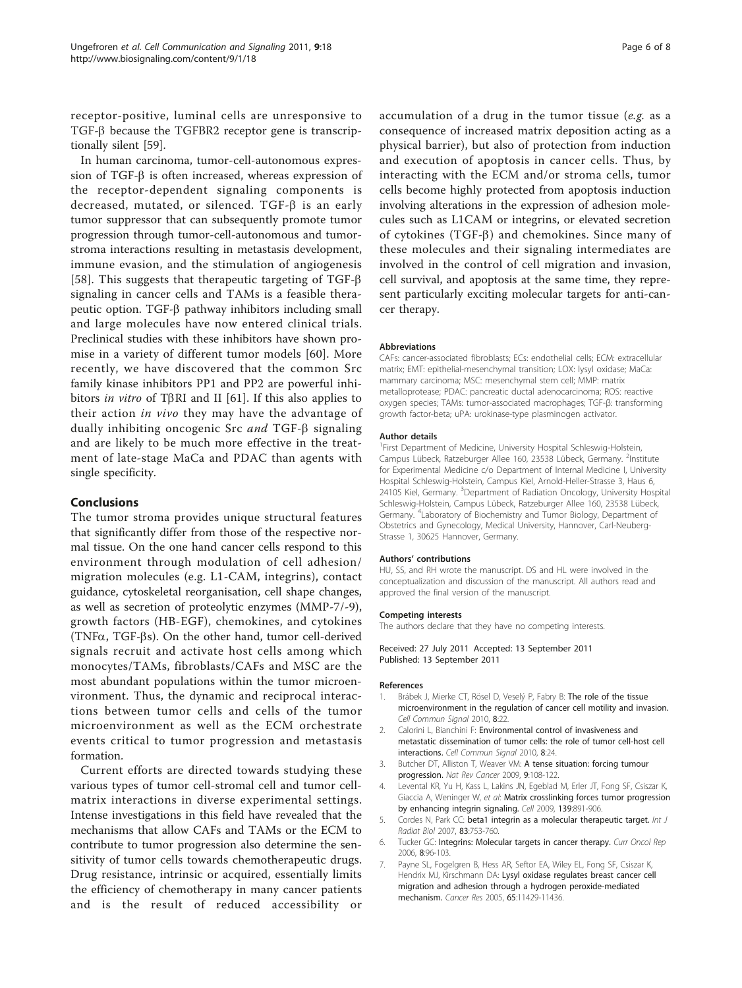<span id="page-5-0"></span>receptor-positive, luminal cells are unresponsive to TGF-b because the TGFBR2 receptor gene is transcriptionally silent [\[59\]](#page-7-0).

In human carcinoma, tumor-cell-autonomous expression of TGF- $\beta$  is often increased, whereas expression of the receptor-dependent signaling components is decreased, mutated, or silenced. TGF- $\beta$  is an early tumor suppressor that can subsequently promote tumor progression through tumor-cell-autonomous and tumorstroma interactions resulting in metastasis development, immune evasion, and the stimulation of angiogenesis [[58](#page-7-0)]. This suggests that therapeutic targeting of TGF- $\beta$ signaling in cancer cells and TAMs is a feasible therapeutic option. TGF-b pathway inhibitors including small and large molecules have now entered clinical trials. Preclinical studies with these inhibitors have shown promise in a variety of different tumor models [[60\]](#page-7-0). More recently, we have discovered that the common Src family kinase inhibitors PP1 and PP2 are powerful inhibitors in vitro of T $\beta$ RI and II [[61\]](#page-7-0). If this also applies to their action in vivo they may have the advantage of dually inhibiting oncogenic Src and TGF- $\beta$  signaling and are likely to be much more effective in the treatment of late-stage MaCa and PDAC than agents with single specificity.

## Conclusions

The tumor stroma provides unique structural features that significantly differ from those of the respective normal tissue. On the one hand cancer cells respond to this environment through modulation of cell adhesion/ migration molecules (e.g. L1-CAM, integrins), contact guidance, cytoskeletal reorganisation, cell shape changes, as well as secretion of proteolytic enzymes (MMP-7/-9), growth factors (HB-EGF), chemokines, and cytokines (TNF $\alpha$ , TGF- $\beta$ s). On the other hand, tumor cell-derived signals recruit and activate host cells among which monocytes/TAMs, fibroblasts/CAFs and MSC are the most abundant populations within the tumor microenvironment. Thus, the dynamic and reciprocal interactions between tumor cells and cells of the tumor microenvironment as well as the ECM orchestrate events critical to tumor progression and metastasis formation.

Current efforts are directed towards studying these various types of tumor cell-stromal cell and tumor cellmatrix interactions in diverse experimental settings. Intense investigations in this field have revealed that the mechanisms that allow CAFs and TAMs or the ECM to contribute to tumor progression also determine the sensitivity of tumor cells towards chemotherapeutic drugs. Drug resistance, intrinsic or acquired, essentially limits the efficiency of chemotherapy in many cancer patients and is the result of reduced accessibility or

accumulation of a drug in the tumor tissue (e.g. as a consequence of increased matrix deposition acting as a physical barrier), but also of protection from induction and execution of apoptosis in cancer cells. Thus, by interacting with the ECM and/or stroma cells, tumor cells become highly protected from apoptosis induction involving alterations in the expression of adhesion molecules such as L1CAM or integrins, or elevated secretion of cytokines (TGF- $\beta$ ) and chemokines. Since many of these molecules and their signaling intermediates are involved in the control of cell migration and invasion, cell survival, and apoptosis at the same time, they represent particularly exciting molecular targets for anti-cancer therapy.

#### Abbreviations

CAFs: cancer-associated fibroblasts; ECs: endothelial cells; ECM: extracellular matrix; EMT: epithelial-mesenchymal transition; LOX: lysyl oxidase; MaCa: mammary carcinoma; MSC: mesenchymal stem cell; MMP: matrix metalloprotease; PDAC: pancreatic ductal adenocarcinoma; ROS: reactive oxygen species; TAMs: tumor-associated macrophages; TGF-β: transforming growth factor-beta; uPA: urokinase-type plasminogen activator.

#### Author details

<sup>1</sup> First Department of Medicine, University Hospital Schleswig-Holstein Campus Lübeck, Ratzeburger Allee 160, 23538 Lübeck, Germany. <sup>2</sup>Institute for Experimental Medicine c/o Department of Internal Medicine I, University Hospital Schleswig-Holstein, Campus Kiel, Arnold-Heller-Strasse 3, Haus 6, 24105 Kiel, Germany. <sup>3</sup>Department of Radiation Oncology, University Hospital Schleswig-Holstein, Campus Lübeck, Ratzeburger Allee 160, 23538 Lübeck, Germany. <sup>4</sup> Laboratory of Biochemistry and Tumor Biology, Department of Obstetrics and Gynecology, Medical University, Hannover, Carl-Neuberg-Strasse 1, 30625 Hannover, Germany.

#### Authors' contributions

HU, SS, and RH wrote the manuscript. DS and HL were involved in the conceptualization and discussion of the manuscript. All authors read and approved the final version of the manuscript.

#### Competing interests

The authors declare that they have no competing interests.

Received: 27 July 2011 Accepted: 13 September 2011 Published: 13 September 2011

#### References

- Brábek J, Mierke CT, Rösel D, Veselý P, Fabry B: [The role of the tissue](http://www.ncbi.nlm.nih.gov/pubmed/20822526?dopt=Abstract) [microenvironment in the regulation of cancer cell motility and invasion.](http://www.ncbi.nlm.nih.gov/pubmed/20822526?dopt=Abstract) Cell Commun Signal 2010, 8:22.
- 2. Calorini L, Bianchini F: [Environmental control of invasiveness and](http://www.ncbi.nlm.nih.gov/pubmed/20822533?dopt=Abstract) [metastatic dissemination of tumor cells: the role of tumor cell-host cell](http://www.ncbi.nlm.nih.gov/pubmed/20822533?dopt=Abstract) [interactions.](http://www.ncbi.nlm.nih.gov/pubmed/20822533?dopt=Abstract) Cell Commun Signal 2010, 8:24.
- 3. Butcher DT, Alliston T, Weaver VM: [A tense situation: forcing tumour](http://www.ncbi.nlm.nih.gov/pubmed/19165226?dopt=Abstract) [progression.](http://www.ncbi.nlm.nih.gov/pubmed/19165226?dopt=Abstract) Nat Rev Cancer 2009, 9:108-122.
- 4. Levental KR, Yu H, Kass L, Lakins JN, Egeblad M, Erler JT, Fong SF, Csiszar K, Giaccia A, Weninger W, et al: [Matrix crosslinking forces tumor progression](http://www.ncbi.nlm.nih.gov/pubmed/19931152?dopt=Abstract) [by enhancing integrin signaling.](http://www.ncbi.nlm.nih.gov/pubmed/19931152?dopt=Abstract) Cell 2009, 139:891-906.
- 5. Cordes N, Park CC: [beta1 integrin as a molecular therapeutic target.](http://www.ncbi.nlm.nih.gov/pubmed/18058364?dopt=Abstract) Int J Radiat Biol 2007, 83:753-760.
- 6. Tucker GC: [Integrins: Molecular targets in cancer therapy.](http://www.ncbi.nlm.nih.gov/pubmed/16507218?dopt=Abstract) Curr Oncol Rep 2006, 8:96-103.
- 7. Payne SL, Fogelgren B, Hess AR, Seftor EA, Wiley EL, Fong SF, Csiszar K, Hendrix MJ, Kirschmann DA: [Lysyl oxidase regulates breast cancer cell](http://www.ncbi.nlm.nih.gov/pubmed/16357151?dopt=Abstract) [migration and adhesion through a hydrogen peroxide-mediated](http://www.ncbi.nlm.nih.gov/pubmed/16357151?dopt=Abstract) [mechanism.](http://www.ncbi.nlm.nih.gov/pubmed/16357151?dopt=Abstract) Cancer Res 2005, 65:11429-11436.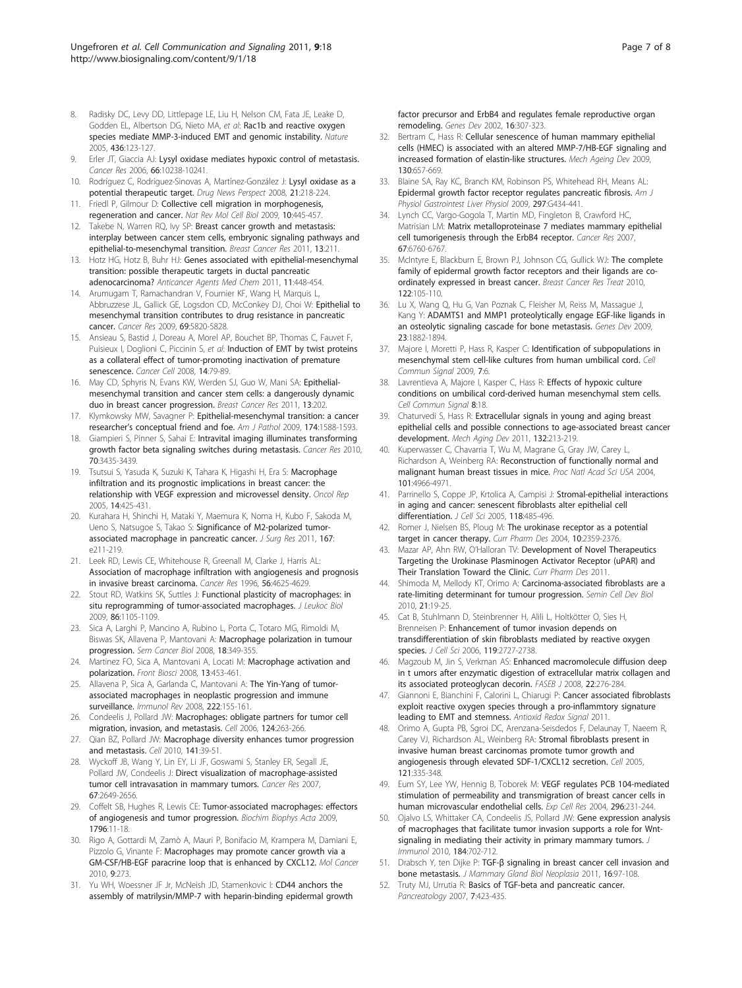- <span id="page-6-0"></span>8. Radisky DC, Levy DD, Littlepage LE, Liu H, Nelson CM, Fata JE, Leake D, Godden EL, Albertson DG, Nieto MA, et al: [Rac1b and reactive oxygen](http://www.ncbi.nlm.nih.gov/pubmed/16001073?dopt=Abstract) [species mediate MMP-3-induced EMT and genomic instability.](http://www.ncbi.nlm.nih.gov/pubmed/16001073?dopt=Abstract) Nature 2005, 436:123-127.
- 9. Erler JT, Giaccia AJ: [Lysyl oxidase mediates hypoxic control of metastasis.](http://www.ncbi.nlm.nih.gov/pubmed/17079439?dopt=Abstract) Cancer Res 2006, 66:10238-10241.
- 10. Rodríguez C, Rodríguez-Sinovas A, Martínez-González J: [Lysyl oxidase as a](http://www.ncbi.nlm.nih.gov/pubmed/18560621?dopt=Abstract) [potential therapeutic target.](http://www.ncbi.nlm.nih.gov/pubmed/18560621?dopt=Abstract) Drug News Perspect 2008, 21:218-224.
- 11. Friedl P, Gilmour D: [Collective cell migration in morphogenesis,](http://www.ncbi.nlm.nih.gov/pubmed/19546857?dopt=Abstract) [regeneration and cancer.](http://www.ncbi.nlm.nih.gov/pubmed/19546857?dopt=Abstract) Nat Rev Mol Cell Biol 2009, 10:445-457.
- 12. Takebe N, Warren RQ, Ivy SP: [Breast cancer growth and metastasis:](http://www.ncbi.nlm.nih.gov/pubmed/21672282?dopt=Abstract) [interplay between cancer stem cells, embryonic signaling pathways and](http://www.ncbi.nlm.nih.gov/pubmed/21672282?dopt=Abstract) [epithelial-to-mesenchymal transition.](http://www.ncbi.nlm.nih.gov/pubmed/21672282?dopt=Abstract) Breast Cancer Res 2011, 13:211.
- 13. Hotz HG, Hotz B, Buhr HJ: [Genes associated with epithelial-mesenchymal](http://www.ncbi.nlm.nih.gov/pubmed/21492078?dopt=Abstract) [transition: possible therapeutic targets in ductal pancreatic](http://www.ncbi.nlm.nih.gov/pubmed/21492078?dopt=Abstract) [adenocarcinoma?](http://www.ncbi.nlm.nih.gov/pubmed/21492078?dopt=Abstract) Anticancer Agents Med Chem 2011, 11:448-454.
- 14. Arumugam T, Ramachandran V, Fournier KF, Wang H, Marquis L, Abbruzzese JL, Gallick GE, Logsdon CD, McConkey DJ, Choi W: [Epithelial to](http://www.ncbi.nlm.nih.gov/pubmed/19584296?dopt=Abstract) [mesenchymal transition contributes to drug resistance in pancreatic](http://www.ncbi.nlm.nih.gov/pubmed/19584296?dopt=Abstract) [cancer.](http://www.ncbi.nlm.nih.gov/pubmed/19584296?dopt=Abstract) Cancer Res 2009, 69:5820-5828.
- 15. Ansieau S, Bastid J, Doreau A, Morel AP, Bouchet BP, Thomas C, Fauvet F, Puisieux I, Doglioni C, Piccinin S, et al: [Induction of EMT by twist proteins](http://www.ncbi.nlm.nih.gov/pubmed/18598946?dopt=Abstract) [as a collateral effect of tumor-promoting inactivation of premature](http://www.ncbi.nlm.nih.gov/pubmed/18598946?dopt=Abstract) [senescence.](http://www.ncbi.nlm.nih.gov/pubmed/18598946?dopt=Abstract) Cancer Cell 2008, 14:79-89.
- 16. May CD, Sphyris N, Evans KW, Werden SJ, Guo W, Mani SA: [Epithelial](http://www.ncbi.nlm.nih.gov/pubmed/21392411?dopt=Abstract)[mesenchymal transition and cancer stem cells: a dangerously dynamic](http://www.ncbi.nlm.nih.gov/pubmed/21392411?dopt=Abstract) [duo in breast cancer progression.](http://www.ncbi.nlm.nih.gov/pubmed/21392411?dopt=Abstract) Breast Cancer Res 2011, 13:202.
- 17. Klymkowsky MW, Savagner P: [Epithelial-mesenchymal transition: a cancer](http://www.ncbi.nlm.nih.gov/pubmed/19342369?dopt=Abstract) researcher'[s conceptual friend and foe.](http://www.ncbi.nlm.nih.gov/pubmed/19342369?dopt=Abstract) Am J Pathol 2009, 174:1588-1593.
- 18. Giampieri S, Pinner S, Sahai E: [Intravital imaging illuminates transforming](http://www.ncbi.nlm.nih.gov/pubmed/20424121?dopt=Abstract) [growth factor beta signaling switches during metastasis.](http://www.ncbi.nlm.nih.gov/pubmed/20424121?dopt=Abstract) Cancer Res 2010, 70:3435-3439.
- 19. Tsutsui S, Yasuda K, Suzuki K, Tahara K, Higashi H, Era S: [Macrophage](http://www.ncbi.nlm.nih.gov/pubmed/16012726?dopt=Abstract) [infiltration and its prognostic implications in breast cancer: the](http://www.ncbi.nlm.nih.gov/pubmed/16012726?dopt=Abstract) [relationship with VEGF expression and microvessel density.](http://www.ncbi.nlm.nih.gov/pubmed/16012726?dopt=Abstract) Oncol Rep 2005, 14:425-431.
- 20. Kurahara H, Shinchi H, Mataki Y, Maemura K, Noma H, Kubo F, Sakoda M, Ueno S, Natsugoe S, Takao S: [Significance of M2-polarized tumor](http://www.ncbi.nlm.nih.gov/pubmed/19765725?dopt=Abstract)[associated macrophage in pancreatic cancer.](http://www.ncbi.nlm.nih.gov/pubmed/19765725?dopt=Abstract) J Surg Res 2011, 167: e211-219.
- 21. Leek RD, Lewis CE, Whitehouse R, Greenall M, Clarke J, Harris AL: [Association of macrophage infiltration with angiogenesis and prognosis](http://www.ncbi.nlm.nih.gov/pubmed/8840975?dopt=Abstract) [in invasive breast carcinoma.](http://www.ncbi.nlm.nih.gov/pubmed/8840975?dopt=Abstract) Cancer Res 1996, 56:4625-4629.
- 22. Stout RD, Watkins SK, Suttles J: [Functional plasticity of macrophages: in](http://www.ncbi.nlm.nih.gov/pubmed/19605698?dopt=Abstract) [situ reprogramming of tumor-associated macrophages.](http://www.ncbi.nlm.nih.gov/pubmed/19605698?dopt=Abstract) J Leukoc Biol 2009, 86:1105-1109.
- 23. Sica A, Larghi P, Mancino A, Rubino L, Porta C, Totaro MG, Rimoldi M, Biswas SK, Allavena P, Mantovani A: Macrophage polarization in tumour progression. Sem Cancer Biol 2008, 18:349-355.
- 24. Martinez FO, Sica A, Mantovani A, Locati M: [Macrophage activation and](http://www.ncbi.nlm.nih.gov/pubmed/17981560?dopt=Abstract) [polarization.](http://www.ncbi.nlm.nih.gov/pubmed/17981560?dopt=Abstract) Front Biosci 2008, 13:453-461.
- 25. Allavena P, Sica A, Garlanda C, Mantovani A: [The Yin-Yang of tumor](http://www.ncbi.nlm.nih.gov/pubmed/18364000?dopt=Abstract)[associated macrophages in neoplastic progression and immune](http://www.ncbi.nlm.nih.gov/pubmed/18364000?dopt=Abstract) [surveillance.](http://www.ncbi.nlm.nih.gov/pubmed/18364000?dopt=Abstract) Immunol Rev 2008, 222:155-161.
- 26. Condeelis J, Pollard JW: [Macrophages: obligate partners for tumor cell](http://www.ncbi.nlm.nih.gov/pubmed/16439202?dopt=Abstract) [migration, invasion, and metastasis.](http://www.ncbi.nlm.nih.gov/pubmed/16439202?dopt=Abstract) Cell 2006, 124:263-266.
- 27. Qian BZ, Pollard JW: [Macrophage diversity enhances tumor progression](http://www.ncbi.nlm.nih.gov/pubmed/20371344?dopt=Abstract) [and metastasis.](http://www.ncbi.nlm.nih.gov/pubmed/20371344?dopt=Abstract) Cell 2010, 141:39-51.
- 28. Wyckoff JB, Wang Y, Lin EY, Li JF, Goswami S, Stanley ER, Segall JE, Pollard JW, Condeelis J: [Direct visualization of macrophage-assisted](http://www.ncbi.nlm.nih.gov/pubmed/17363585?dopt=Abstract) [tumor cell intravasation in mammary tumors.](http://www.ncbi.nlm.nih.gov/pubmed/17363585?dopt=Abstract) Cancer Res 2007, 67:2649-2656.
- 29. Coffelt SB, Hughes R, Lewis CE: [Tumor-associated macrophages: effectors](http://www.ncbi.nlm.nih.gov/pubmed/19269310?dopt=Abstract) [of angiogenesis and tumor progression.](http://www.ncbi.nlm.nih.gov/pubmed/19269310?dopt=Abstract) Biochim Biophys Acta 2009, 1796:11-18.
- 30. Rigo A, Gottardi M, Zamò A, Mauri P, Bonifacio M, Krampera M, Damiani E, Pizzolo G, Vinante F: [Macrophages may promote cancer growth via a](http://www.ncbi.nlm.nih.gov/pubmed/20946648?dopt=Abstract) [GM-CSF/HB-EGF paracrine loop that is enhanced by CXCL12.](http://www.ncbi.nlm.nih.gov/pubmed/20946648?dopt=Abstract) Mol Cancer 2010, 9:273.
- 31. Yu WH, Woessner JF Jr, McNeish JD, Stamenkovic I: [CD44 anchors the](http://www.ncbi.nlm.nih.gov/pubmed/11825873?dopt=Abstract) [assembly of matrilysin/MMP-7 with heparin-binding epidermal growth](http://www.ncbi.nlm.nih.gov/pubmed/11825873?dopt=Abstract)

[factor precursor and ErbB4 and regulates female reproductive organ](http://www.ncbi.nlm.nih.gov/pubmed/11825873?dopt=Abstract) [remodeling.](http://www.ncbi.nlm.nih.gov/pubmed/11825873?dopt=Abstract) Genes Dev 2002, 16:307-323.

- 32. Bertram C, Hass R: [Cellular senescence of human mammary epithelial](http://www.ncbi.nlm.nih.gov/pubmed/19682489?dopt=Abstract) [cells \(HMEC\) is associated with an altered MMP-7/HB-EGF signaling and](http://www.ncbi.nlm.nih.gov/pubmed/19682489?dopt=Abstract) [increased formation of elastin-like structures.](http://www.ncbi.nlm.nih.gov/pubmed/19682489?dopt=Abstract) Mech Ageing Dev 2009, 130:657-669.
- 33. Blaine SA, Ray KC, Branch KM, Robinson PS, Whitehead RH, Means AL: [Epidermal growth factor receptor regulates pancreatic fibrosis.](http://www.ncbi.nlm.nih.gov/pubmed/19608732?dopt=Abstract) Am J Physiol Gastrointest Liver Physiol 2009, 297:G434-441.
- 34. Lynch CC, Vargo-Gogola T, Martin MD, Fingleton B, Crawford HC, Matrisian LM: [Matrix metalloproteinase 7 mediates mammary epithelial](http://www.ncbi.nlm.nih.gov/pubmed/17638887?dopt=Abstract) [cell tumorigenesis through the ErbB4 receptor.](http://www.ncbi.nlm.nih.gov/pubmed/17638887?dopt=Abstract) Cancer Res 2007, 67:6760-6767.
- 35. McIntyre E, Blackburn E, Brown PJ, Johnson CG, Gullick WJ: [The complete](http://www.ncbi.nlm.nih.gov/pubmed/19760033?dopt=Abstract) [family of epidermal growth factor receptors and their ligands are co](http://www.ncbi.nlm.nih.gov/pubmed/19760033?dopt=Abstract)[ordinately expressed in breast cancer.](http://www.ncbi.nlm.nih.gov/pubmed/19760033?dopt=Abstract) Breast Cancer Res Treat 2010, 122:105-110.
- 36. Lu X, Wang Q, Hu G, Van Poznak C, Fleisher M, Reiss M, Massague J, Kang Y: [ADAMTS1 and MMP1 proteolytically engage EGF-like ligands in](http://www.ncbi.nlm.nih.gov/pubmed/19608765?dopt=Abstract) [an osteolytic signaling cascade for bone metastasis.](http://www.ncbi.nlm.nih.gov/pubmed/19608765?dopt=Abstract) Genes Dev 2009, 23:1882-1894.
- 37. Majore I, Moretti P, Hass R, Kasper C: [Identification of subpopulations in](http://www.ncbi.nlm.nih.gov/pubmed/19302702?dopt=Abstract) [mesenchymal stem cell-like cultures from human umbilical cord.](http://www.ncbi.nlm.nih.gov/pubmed/19302702?dopt=Abstract) Cell Commun Signal 2009, 7:6.
- 38. Lavrentieva A, Majore I, Kasper C, Hass R: Effects of hypoxic culture conditions on umbilical cord-derived human mesenchymal stem cells. Cell Commun Signal 8:18.
- 39. Chaturvedi S, Hass R: [Extracellular signals in young and aging breast](http://www.ncbi.nlm.nih.gov/pubmed/21507328?dopt=Abstract) [epithelial cells and possible connections to age-associated breast cancer](http://www.ncbi.nlm.nih.gov/pubmed/21507328?dopt=Abstract) [development.](http://www.ncbi.nlm.nih.gov/pubmed/21507328?dopt=Abstract) Mech Aging Dev 2011, 132:213-219.
- 40. Kuperwasser C, Chavarria T, Wu M, Magrane G, Gray JW, Carey L, Richardson A, Weinberg RA: [Reconstruction of functionally normal and](http://www.ncbi.nlm.nih.gov/pubmed/15051869?dopt=Abstract) [malignant human breast tissues in mice.](http://www.ncbi.nlm.nih.gov/pubmed/15051869?dopt=Abstract) Proc Natl Acad Sci USA 2004, 101:4966-4971.
- 41. Parrinello S, Coppe JP, Krtolica A, Campisi J: [Stromal-epithelial interactions](http://www.ncbi.nlm.nih.gov/pubmed/15657080?dopt=Abstract) [in aging and cancer: senescent fibroblasts alter epithelial cell](http://www.ncbi.nlm.nih.gov/pubmed/15657080?dopt=Abstract) [differentiation.](http://www.ncbi.nlm.nih.gov/pubmed/15657080?dopt=Abstract) J Cell Sci 2005, 118:485-496.
- 42. Romer J, Nielsen BS, Ploug M: [The urokinase receptor as a potential](http://www.ncbi.nlm.nih.gov/pubmed/15279614?dopt=Abstract) [target in cancer therapy.](http://www.ncbi.nlm.nih.gov/pubmed/15279614?dopt=Abstract) Curr Pharm Des 2004, 10:2359-2376.
- 43. Mazar AP, Ahn RW, O'Halloran TV: Development of Novel Therapeutics Targeting the Urokinase Plasminogen Activator Receptor (uPAR) and Their Translation Toward the Clinic. Curr Pharm Des 2011
- 44. Shimoda M, Mellody KT, Orimo A: [Carcinoma-associated fibroblasts are a](http://www.ncbi.nlm.nih.gov/pubmed/19857592?dopt=Abstract) [rate-limiting determinant for tumour progression.](http://www.ncbi.nlm.nih.gov/pubmed/19857592?dopt=Abstract) Semin Cell Dev Biol 2010, 21:19-25.
- 45. Cat B, Stuhlmann D, Steinbrenner H, Alili L, Holtkötter O, Sies H, Brenneisen P: [Enhancement of tumor invasion depends on](http://www.ncbi.nlm.nih.gov/pubmed/16757516?dopt=Abstract) [transdifferentiation of skin fibroblasts mediated by reactive oxygen](http://www.ncbi.nlm.nih.gov/pubmed/16757516?dopt=Abstract) [species.](http://www.ncbi.nlm.nih.gov/pubmed/16757516?dopt=Abstract) J Cell Sci 2006, 119:2727-2738.
- 46. Magzoub M, Jin S, Verkman AS: [Enhanced macromolecule diffusion deep](http://www.ncbi.nlm.nih.gov/pubmed/17761521?dopt=Abstract) [in t umors after enzymatic digestion of extracellular matrix collagen and](http://www.ncbi.nlm.nih.gov/pubmed/17761521?dopt=Abstract) [its associated proteoglycan decorin.](http://www.ncbi.nlm.nih.gov/pubmed/17761521?dopt=Abstract) FASEB J 2008, 22:276-284
- 47. Giannoni E, Bianchini F, Calorini L, Chiarugi P: Cancer associated fibroblasts exploit reactive oxygen species through a pro-inflammtory signature leading to EMT and stemness. Antioxid Redox Signal 2011.
- 48. Orimo A, Gupta PB, Sgroi DC, Arenzana-Seisdedos F, Delaunay T, Naeem R, Carey VJ, Richardson AL, Weinberg RA: [Stromal fibroblasts present in](http://www.ncbi.nlm.nih.gov/pubmed/15882617?dopt=Abstract) [invasive human breast carcinomas promote tumor growth and](http://www.ncbi.nlm.nih.gov/pubmed/15882617?dopt=Abstract) [angiogenesis through elevated SDF-1/CXCL12 secretion.](http://www.ncbi.nlm.nih.gov/pubmed/15882617?dopt=Abstract) Cell 2005, 121:335-348.
- 49. Eum SY, Lee YW, Hennig B, Toborek M: [VEGF regulates PCB 104-mediated](http://www.ncbi.nlm.nih.gov/pubmed/15149853?dopt=Abstract) [stimulation of permeability and transmigration of breast cancer cells in](http://www.ncbi.nlm.nih.gov/pubmed/15149853?dopt=Abstract) [human microvascular endothelial cells.](http://www.ncbi.nlm.nih.gov/pubmed/15149853?dopt=Abstract) Exp Cell Res 2004, 296:231-244.
- 50. Ojalvo LS, Whittaker CA, Condeelis JS, Pollard JW: [Gene expression analysis](http://www.ncbi.nlm.nih.gov/pubmed/20018620?dopt=Abstract) [of macrophages that facilitate tumor invasion supports a role for Wnt](http://www.ncbi.nlm.nih.gov/pubmed/20018620?dopt=Abstract)[signaling in mediating their activity in primary mammary tumors.](http://www.ncbi.nlm.nih.gov/pubmed/20018620?dopt=Abstract) J Immunol 2010, 184:702-712.
- 51. Drabsch Y, ten Dijke P: TGF-β [signaling in breast cancer cell invasion and](http://www.ncbi.nlm.nih.gov/pubmed/21494783?dopt=Abstract) [bone metastasis.](http://www.ncbi.nlm.nih.gov/pubmed/21494783?dopt=Abstract) J Mammary Gland Biol Neoplasia 2011, 16:97-108.
- 52. Truty MJ, Urrutia R: [Basics of TGF-beta and pancreatic cancer.](http://www.ncbi.nlm.nih.gov/pubmed/17898532?dopt=Abstract) Pancreatology 2007, 7:423-435.